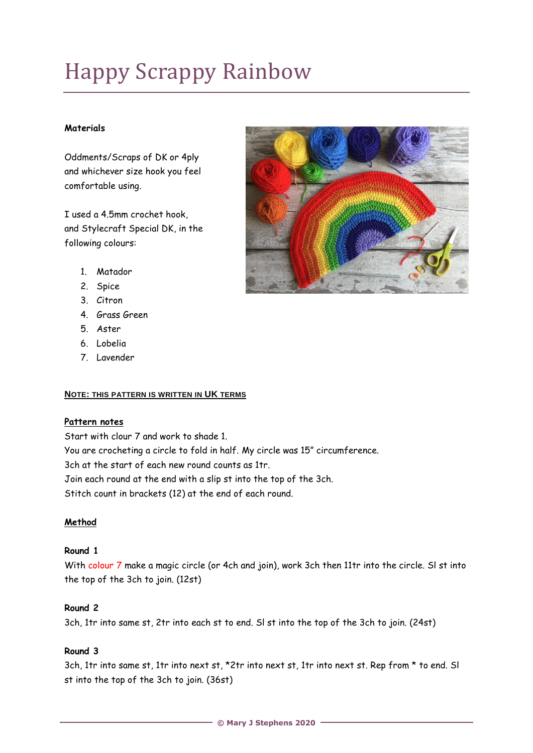# Happy Scrappy Rainbow

# **Materials**

Oddments/Scraps of DK or 4ply and whichever size hook you feel comfortable using.

I used a 4.5mm crochet hook, and Stylecraft Special DK, in the following colours:



- 1. Matador
- 2. Spice
- 3. Citron
- 4. Grass Green
- 5. Aster
- 6. Lobelia
- 7. Lavender

#### **NOTE: THIS PATTERN IS WRITTEN IN UK TERMS**

# **Pattern notes**

Start with clour 7 and work to shade 1. You are crocheting a circle to fold in half. My circle was 15" circumference. 3ch at the start of each new round counts as 1tr. Join each round at the end with a slip st into the top of the 3ch. Stitch count in brackets (12) at the end of each round.

# **Method**

# **Round 1**

With colour 7 make a magic circle (or 4ch and join), work 3ch then 11tr into the circle. SI st into the top of the 3ch to join. (12st)

#### **Round 2**

3ch, 1tr into same st, 2tr into each st to end. Sl st into the top of the 3ch to join. (24st)

# **Round 3**

3ch, 1tr into same st, 1tr into next st, \*2tr into next st, 1tr into next st. Rep from \* to end. Sl st into the top of the 3ch to join. (36st)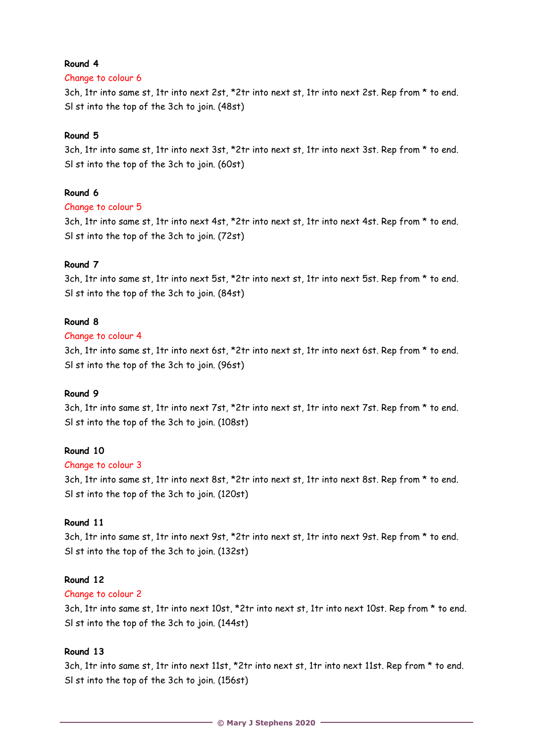## **Round 4**

## Change to colour 6

3ch, 1tr into same st, 1tr into next 2st, \*2tr into next st, 1tr into next 2st. Rep from \* to end. Sl st into the top of the 3ch to join. (48st)

# **Round 5**

3ch, 1tr into same st, 1tr into next 3st, \*2tr into next st, 1tr into next 3st. Rep from \* to end. Sl st into the top of the 3ch to join. (60st)

## **Round 6**

## Change to colour 5

3ch, 1tr into same st, 1tr into next 4st, \*2tr into next st, 1tr into next 4st. Rep from \* to end. Sl st into the top of the 3ch to join. (72st)

## **Round 7**

3ch, 1tr into same st, 1tr into next 5st, \*2tr into next st, 1tr into next 5st. Rep from \* to end. Sl st into the top of the 3ch to join. (84st)

## **Round 8**

## Change to colour 4

3ch, 1tr into same st, 1tr into next 6st, \*2tr into next st, 1tr into next 6st. Rep from \* to end. Sl st into the top of the 3ch to join. (96st)

#### **Round 9**

3ch, 1tr into same st, 1tr into next 7st, \*2tr into next st, 1tr into next 7st. Rep from \* to end. Sl st into the top of the 3ch to join. (108st)

## **Round 10**

#### Change to colour 3

3ch, 1tr into same st, 1tr into next 8st, \*2tr into next st, 1tr into next 8st. Rep from \* to end. Sl st into the top of the 3ch to join. (120st)

#### **Round 11**

3ch, 1tr into same st, 1tr into next 9st, \*2tr into next st, 1tr into next 9st. Rep from \* to end. Sl st into the top of the 3ch to join. (132st)

#### **Round 12**

#### Change to colour 2

3ch, 1tr into same st, 1tr into next 10st, \*2tr into next st, 1tr into next 10st. Rep from \* to end. Sl st into the top of the 3ch to join. (144st)

# **Round 13**

3ch, 1tr into same st, 1tr into next 11st, \*2tr into next st, 1tr into next 11st. Rep from \* to end. Sl st into the top of the 3ch to join. (156st)